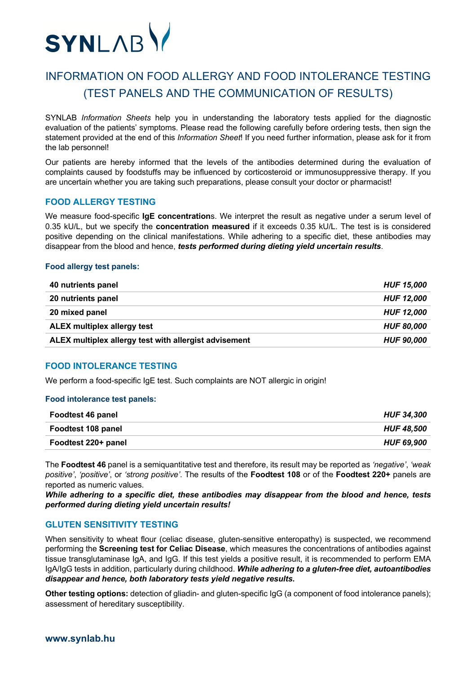

# INFORMATION ON FOOD ALLERGY AND FOOD INTOLERANCE TESTING (TEST PANELS AND THE COMMUNICATION OF RESULTS)

SYNLAB *Information Sheets* help you in understanding the laboratory tests applied for the diagnostic evaluation of the patients' symptoms. Please read the following carefully before ordering tests, then sign the statement provided at the end of this *Information Sheet*! If you need further information, please ask for it from the lab personnel!

Our patients are hereby informed that the levels of the antibodies determined during the evaluation of complaints caused by foodstuffs may be influenced by corticosteroid or immunosuppressive therapy. If you are uncertain whether you are taking such preparations, please consult your doctor or pharmacist!

# **FOOD ALLERGY TESTING**

We measure food-specific **IgE concentration**s. We interpret the result as negative under a serum level of 0.35 kU/L, but we specify the **concentration measured** if it exceeds 0.35 kU/L. The test is is considered positive depending on the clinical manifestations. While adhering to a specific diet, these antibodies may disappear from the blood and hence, *tests performed during dieting yield uncertain results*.

### **Food allergy test panels:**

| 40 nutrients panel                                    | <b>HUF 15.000</b> |
|-------------------------------------------------------|-------------------|
| 20 nutrients panel                                    | <b>HUF 12.000</b> |
| 20 mixed panel                                        | <b>HUF 12,000</b> |
| <b>ALEX multiplex allergy test</b>                    | <b>HUF 80.000</b> |
| ALEX multiplex allergy test with allergist advisement | <b>HUF 90,000</b> |

# **FOOD INTOLERANCE TESTING**

We perform a food-specific IgE test. Such complaints are NOT allergic in origin!

### **Food intolerance test panels:**

| <b>Foodtest 46 panel</b> | <b>HUF 34.300</b> |
|--------------------------|-------------------|
| Foodtest 108 panel       | <b>HUF 48.500</b> |
| Foodtest 220+ panel      | <b>HUF 69.900</b> |

The **Foodtest 46** panel is a semiquantitative test and therefore, its result may be reported as *'negative'*, *'weak positive'*, *'positive'*, or *'strong positive'*. The results of the **Foodtest 108** or of the **Foodtest 220+** panels are reported as numeric values.

*While adhering to a specific diet, these antibodies may disappear from the blood and hence, tests performed during dieting yield uncertain results!*

## **GLUTEN SENSITIVITY TESTING**

When sensitivity to wheat flour (celiac disease, gluten-sensitive enteropathy) is suspected, we recommend performing the **Screening test for Celiac Disease**, which measures the concentrations of antibodies against tissue transglutaminase IgA, and IgG. If this test yields a positive result, it is recommended to perform EMA IgA/IgG tests in addition, particularly during childhood. *While adhering to a gluten-free diet, autoantibodies disappear and hence, both laboratory tests yield negative results.*

**Other testing options:** detection of gliadin- and gluten-specific IgG (a component of food intolerance panels); assessment of hereditary susceptibility.